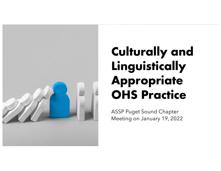

# **Culturally and Linguistically Appropriate OHS Practice**

ASSP Puget Sound Chapter Meeting on January 19, 2022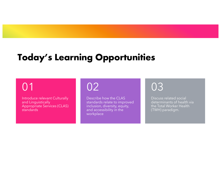# **Today's Learning Opportunities**

# 01

Introduce relevant Culturally and Linguistically Appropriate Services (CLAS) standards

# 02

Describe how the CLAS standards relate to improved inclusion, diversity, equity, and accessibility in the workplace

# 03

Discuss related social determinants of health via the Total Worker Health (TWH) paradigm.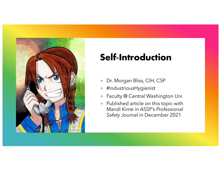

# **Self-Introduction**

- + Dr. Morgan Bliss, CIH, CSP
- + #IndustriousHygienist
- + Faculty @ Central Washington Uni
- + Published article on this topic with Mandi Kime in ASSP's *Professional Safety Journal* in December 2021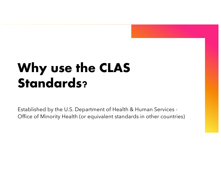# **Why use the CLAS Standards?**

Established by the U.S. Department of Health & Human Services - Office of Minority Health (or equivalent standards in other countries)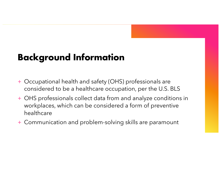# **Background Information**

- + Occupational health and safety (OHS) professionals are considered to be a healthcare occupation, per the U.S. BLS
- + OHS professionals collect data from and analyze conditions in workplaces, which can be considered a form of preventive healthcare
- + Communication and problem-solving skills are paramount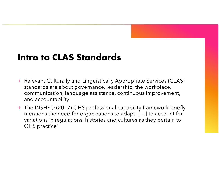### **Intro to CLAS Standards**

- + Relevant Culturally and Linguistically Appropriate Services (CLAS) standards are about governance, leadership, the workplace, communication, language assistance, continuous improvement, and accountability
- + The INSHPO (2017) OHS professional capability framework briefly mentions the need for organizations to adapt "[…] to account for variations in regulations, histories and cultures as they pertain to OHS practice"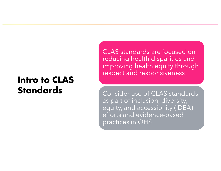### **Intro to CLAS Standards**

CLAS standards are focused on reducing health disparities and improving health equity through respect and responsiveness

Consider use of CLAS standards as part of inclusion, diversity, equity, and accessibility (IDEA) efforts and evidence-based practices in OHS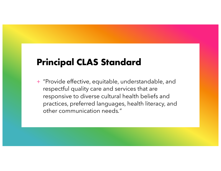## **Principal CLAS Standard**

+ "Provide effective, equitable, understandable, and respectful quality care and services that are responsive to diverse cultural health beliefs and practices, preferred languages, health literacy, and other communication needs*.*"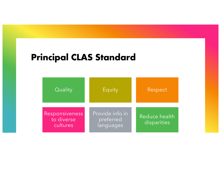### **Principal CLAS Standard**

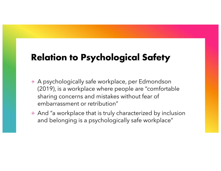# **Relation to Psychological Safety**

- + A psychologically safe workplace, per Edmondson (2019), is a workplace where people are "comfortable sharing concerns and mistakes without fear of embarrassment or retribution"
- + And "a workplace that is truly characterized by inclusion and belonging is a psychologically safe workplace"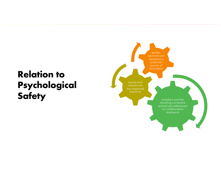# **Relation to Psychological**

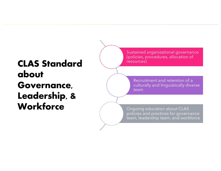# **CLAS Standard about Governance, Leadership, & Workforce**

Sustained organizational governance (policies, procedures, allocation of resources)

Recruitment and retention of a culturally and linguistically diverse team

Ongoing education about CLAS policies and practices for governance team, leadership team, and workforce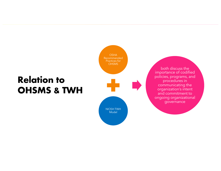# **Relation to OHSMS & TWH**



both discuss the importance of codified policies, programs, and procedures in communicating the organization's intent and commitment to ongoing organizational governance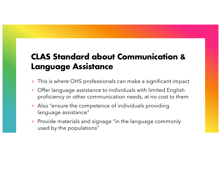### **CLAS Standard about Communication & Language Assistance**

- This is where OHS professionals can make a significant impact
- + Offer language assistance to individuals with limited English proficiency or other communication needs, at no cost to them
- + Also "ensure the competence of individuals providing language assistance"
- + Provide materials and signage "in the language commonly used by the populations"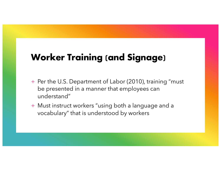# **Worker Training (and Signage)**

- + Per the U.S. Department of Labor (2010), training "must be presented in a manner that employees can understand"
- + Must instruct workers "using both a language and a vocabulary" that is understood by workers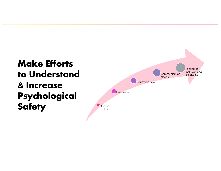# **Make Efforts to Understand & Increase Psychological**  Safety **Diverse**

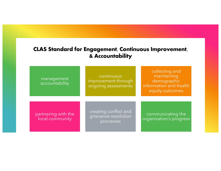### **CLAS Standard for Engagement, Continuous Improvement, & Accountability**

| management<br>accountability           | continuous<br>improvement through<br>ongoing assessments   | collecting and<br>maintaining<br>demographic<br>information and health<br>equity outcomes |
|----------------------------------------|------------------------------------------------------------|-------------------------------------------------------------------------------------------|
| partnering with the<br>local community | creating conflict and<br>grievance resolution<br>processes | communicating the<br>organization's progress                                              |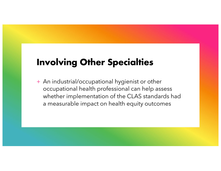# **Involving Other Specialties**

+ An industrial/occupational hygienist or other occupational health professional can help assess whether implementation of the CLAS standards had a measurable impact on health equity outcomes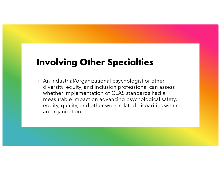# **Involving Other Specialties**

+ An industrial/organizational psychologist or other diversity, equity, and inclusion professional can assess whether implementation of CLAS standards had a measurable impact on advancing psychological safety, equity, quality, and other work-related disparities within an organization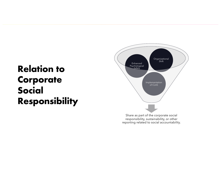# **Relation to Corporate Social Responsibility**

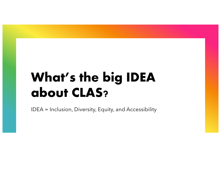# **What's the big IDEA about CLAS?**

IDEA = Inclusion, Diversity, Equity, and Accessibility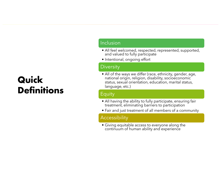# **Quick Definitions**

#### Inclusion

- All feel welcomed, respected, represented, supported, and valued to fully participate
- Intentional, ongoing effort

#### **Diversity**

• All of the ways we differ (race, ethnicity, gender, age, national origin, religion, disability, socioeconomic status, sexual orientation, education, marital status, language, etc.)

#### Equity

- All having the ability to fully participate, ensuring fair treatment, eliminating barriers to participation
- Fair and just treatment of all members of a community

#### Accessibility

• Giving equitable access to everyone along the continuum of human ability and experience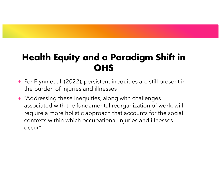# **Health Equity and a Paradigm Shift in OHS**

- + Per Flynn et al. (2022), persistent inequities are still present in the burden of injuries and illnesses
- + "Addressing these inequities, along with challenges associated with the fundamental reorganization of work, will require a more holistic approach that accounts for the social contexts within which occupational injuries and illnesses occur"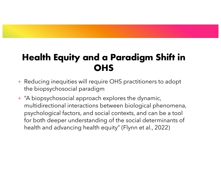# **Health Equity and a Paradigm Shift in OHS**

- + Reducing inequities will require OHS practitioners to adopt the biopsychosocial paradigm
- + "A biopsychosocial approach explores the dynamic, multidirectional interactions between biological phenomena, psychological factors, and social contexts, and can be a tool for both deeper understanding of the social determinants of health and advancing health equity" (Flynn et al., 2022)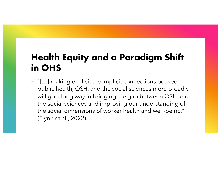# **Health Equity and a Paradigm Shift in OHS**

+ "[…] making explicit the implicit connections between public health, OSH, and the social sciences more broadly will go a long way in bridging the gap between OSH and the social sciences and improving our understanding of the social dimensions of worker health and well-being." (Flynn et al., 2022)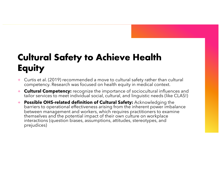# **Cultural Safety to Achieve Health Equity**

- + Curtis et al. (2019) recommended a move to cultural safety rather than cultural competency. Research was focused on health equity in medical context.
- + **Cultural Competency:** recognize the importance of sociocultural influences and tailor services to meet individual social, cultural, and linguistic needs (like CLAS!)
- <sup>+</sup> **Possible OHS-related definition of Cultural Safety:** Acknowledging the barriers to operational effectiveness arising from the inherent power imbalance between management and workers, which requires practitioners to examine themselves and the potential impact of their own culture on workplace interactions (question biases, assumptions, attitudes, stereotypes, and prejudices)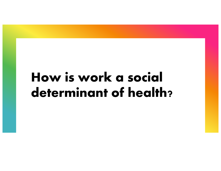# **How is work a social determinant of health?**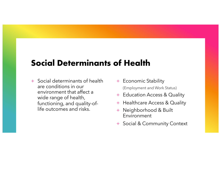### **Social Determinants of Health**

- + Social determinants of health are conditions in our environment that affect a wide range of health, functioning, and quality-oflife outcomes and risks.
- + Economic Stability (Employment and Work Status)
- + Education Access & Quality
- + Healthcare Access & Quality
- + Neighborhood & Built Environment
- + Social & Community Context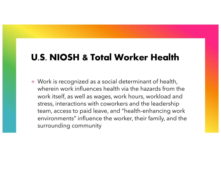## **U.S. NIOSH & Total Worker Health**

+ Work is recognized as a social determinant of health, wherein work influences health via the hazards from the work itself, as well as wages, work hours, workload and stress, interactions with coworkers and the leadership team, access to paid leave, and "health-enhancing work environments" influence the worker, their family, and the surrounding community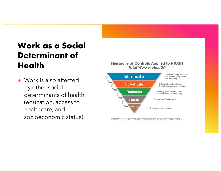# **Work as a Social Determinant of Health**

+ Work is also affected by other social determinants of health (education, access to healthcare, and socioeconomic status)

#### **Hierarchy of Controls Applied to NIOSH Total Worker Health<sup>®</sup>**



Suggested Citation: NOSH [2016]. Fundamentals of total worker health approaches: essential elements for advancing worker safety, health, and well-being. By<br>Lee MP, Hudson H, Richards R, Chang CC, Chosewood LC, Schill AL, o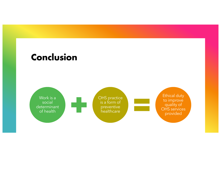## **Conclusion**

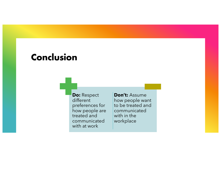### **Conclusion**

**Do:** Respect different preferences for how people are treated and communicated with at work

**Don't:** Assume how people want to be treated and communicated with in the workplace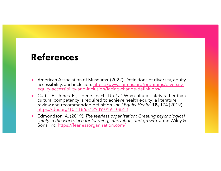### **References**

- + American Association of Museums. (2022). Definitions of diversity, equity, [accessibility, and inclusion. https://www.aam-us.org/programs/diversity](https://www.aam-us.org/programs/diversity-equity-accessibility-and-inclusion/facing-change-definitions/)- equity-accessibility-and-inclusion/facing-change-definitions/
- + Curtis, E., Jones, R., Tipene-Leach, D. *et al.* Why cultural safety rather than cultural competency is required to achieve health equity: a literature review and recommended definition. *Int J Equity Health* **18,** 174 (2019). [https://doi.org/10.1186/s12939-019-1082-](https://doi.org/10.1186/s12939-019-1082-3)3
- + Edmondson, A. (2019). *The fearless organization: Creating psychological safety in the workplace for learning, innovation, and growth*. John Wiley & Sons, In[c. https://fearlessorganization.com](https://fearlessorganization.com/)/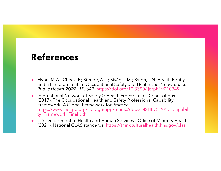### **References**

- + Flynn, M.A.; Check, P.; Steege, A.L.; Sivén, J.M.; Syron, L.N. Health Equity and a Paradigm Shift in Occupational Safety and Health. *Int. J. Environ. Res. Public Health* **2022**, *19*, 34[9. https://doi.org/10.3390/ijerph19010349](https://doi.org/10.3390/ijerph19010349)
- + International Network of Safety & Health Professional Organisations. (2017). The Occupational Health and Safety Professional Capability Framework: A Global Framework for Practice. [https://www.inshpo.org/storage/app/media/docs/INSHPO\\_2017\\_Capabi](https://www.inshpo.org/storage/app/media/docs/INSHPO_2017_Capability_Framework_Final.pdf)li ty\_Framework\_Final.pdf
- + U.S. Department of Health and Human Services Office of Minority Health. (2021). National CLAS standard[s. https://thinkculturalhealth.hhs.gov/cla](https://thinkculturalhealth.hhs.gov/clas)s